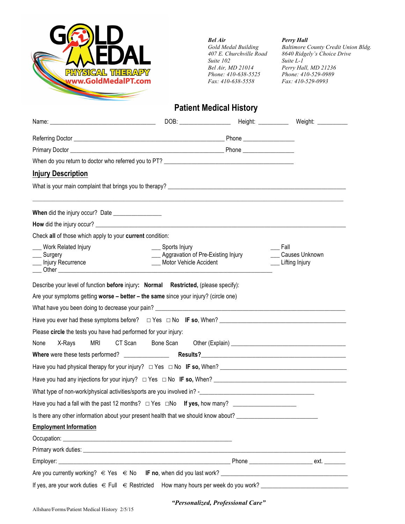

*Bel Air Perry Hall Suite 102 Suite L-1 Phone: 410-638-5525 Phone: 410-529-098*<br>*Fax: 410-638-5558 Fax: 410-529-0993 Fax: 410-638-5558 Fax: 410-529-0993*

*Gold Medal Building Baltimore County Credit Union Bldg. 407 E. Churchville Road 8640 Ridgely's Choice Drive Perry Hall, MD 21236*<br>*Phone: 410-529-0989* 

## **Patient Medical History**

| <b>Injury Description</b>                                                                                          |                                                                                           |                                          |
|--------------------------------------------------------------------------------------------------------------------|-------------------------------------------------------------------------------------------|------------------------------------------|
| What is your main complaint that brings you to therapy?<br>What is your main complaint that brings you to therapy? |                                                                                           |                                          |
|                                                                                                                    |                                                                                           |                                          |
|                                                                                                                    |                                                                                           |                                          |
| Check all of those which apply to your current condition:                                                          |                                                                                           |                                          |
| <b>Work Related Injury</b><br>___ Surgery<br>__ Injury Recurrence                                                  | ___ Sports Injury<br>___ Aggravation of Pre-Existing Injury<br>___ Motor Vehicle Accident | Fall<br>Causes Unknown<br>Lifting Injury |
| Describe your level of function before injury: Normal Restricted, (please specify):                                |                                                                                           |                                          |
| Are your symptoms getting worse - better - the same since your injury? (circle one)                                |                                                                                           |                                          |
|                                                                                                                    |                                                                                           |                                          |
|                                                                                                                    |                                                                                           |                                          |
| Please circle the tests you have had performed for your injury:                                                    |                                                                                           |                                          |
| MRI<br>None<br>X-Rays                                                                                              | CT Scan<br>Bone Scan                                                                      |                                          |
|                                                                                                                    |                                                                                           |                                          |
|                                                                                                                    |                                                                                           |                                          |
| Have you had any injections for your injury? $\Box$ Yes $\Box$ No IF so, When?                                     |                                                                                           |                                          |
|                                                                                                                    |                                                                                           |                                          |
| Have you had a fall with the past 12 months? $\Box$ Yes $\Box$ No If yes, how many?                                |                                                                                           |                                          |
| Is there any other information about your present health that we should know about?                                |                                                                                           |                                          |
| <b>Employment Information</b>                                                                                      |                                                                                           |                                          |
|                                                                                                                    |                                                                                           |                                          |
|                                                                                                                    |                                                                                           |                                          |
|                                                                                                                    |                                                                                           |                                          |
|                                                                                                                    |                                                                                           |                                          |
|                                                                                                                    |                                                                                           |                                          |